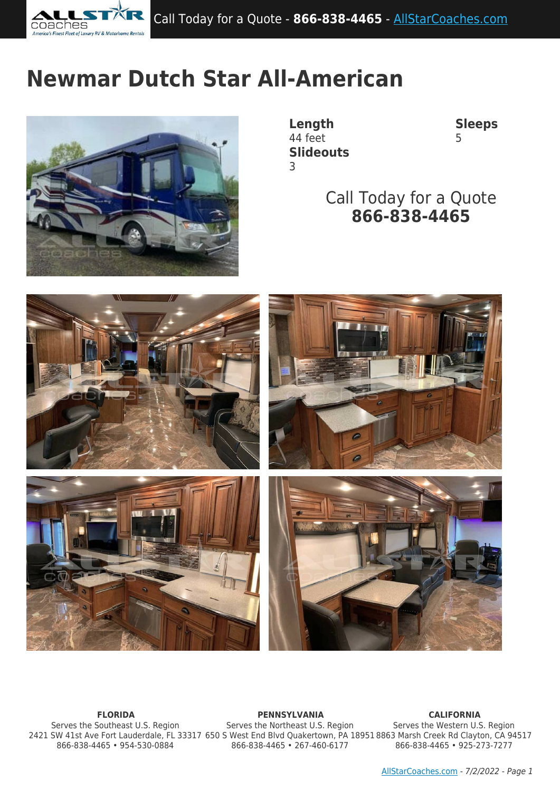

# **Newmar Dutch Star All-American**



**Length Sleeps** 44 feet 5 **Slideouts** 3

Call Today for a Quote **866-838-4465**



Serves the Southeast U.S. Region 866-838-4465 • 954-530-0884

**FLORIDA PENNSYLVANIA CALIFORNIA** 2421 SW 41st Ave Fort Lauderdale, FL 33317 650 S West End Blvd Quakertown, PA 18951 8863 Marsh Creek Rd Clayton, CA 94517 Serves the Northeast U.S. Region 866-838-4465 • 267-460-6177

Serves the Western U.S. Region 866-838-4465 • 925-273-7277